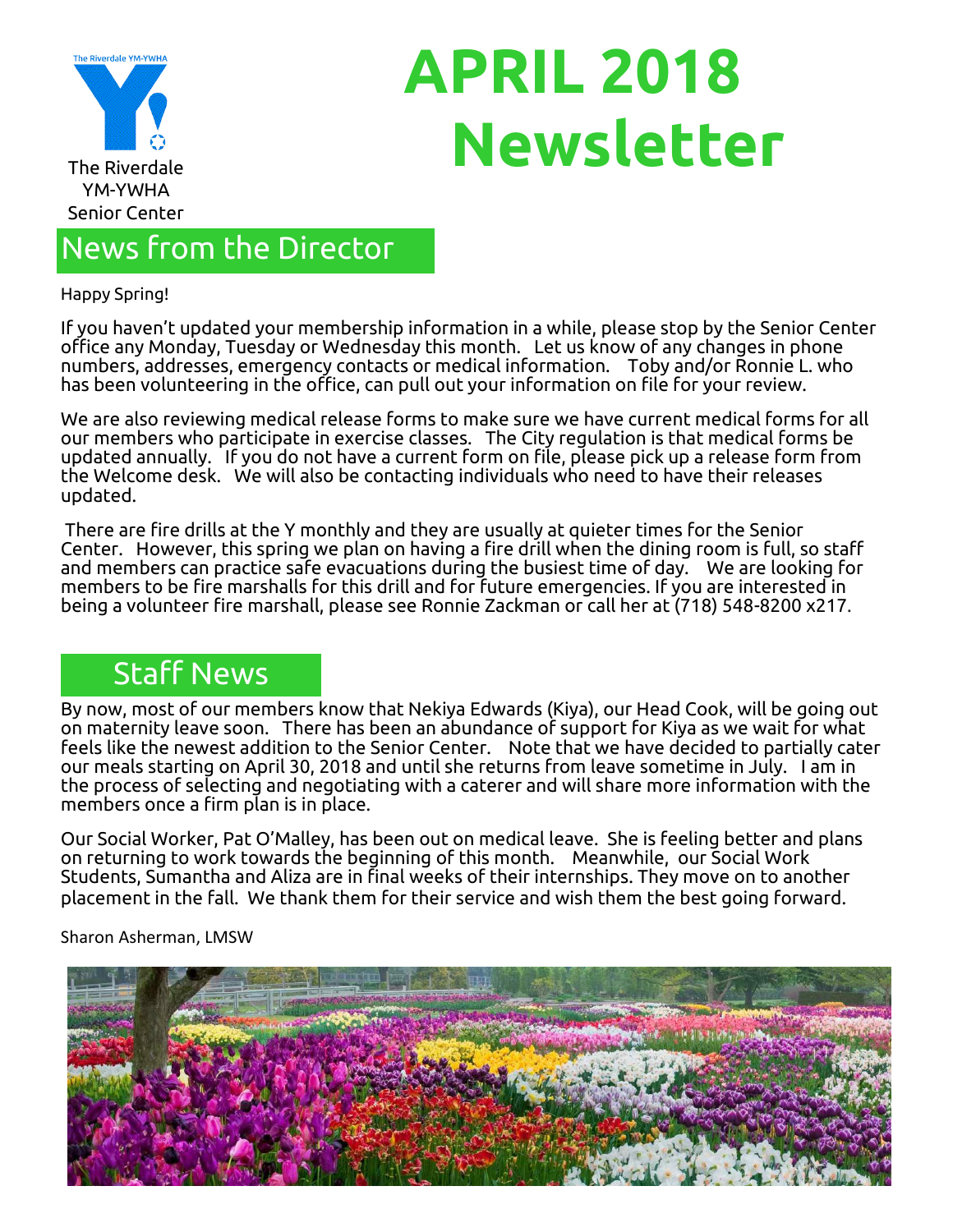

# **APRIL 2018 The Riverdale**

## News from the Director

Happy Spring!

If you haven't updated your membership information in a while, please stop by the Senior Center office any Monday, Tuesday or Wednesday this month. Let us know of any changes in phone numbers, addresses, emergency contacts or medical information. Toby and/or Ronnie L. who has been volunteering in the office, can pull out your information on file for your review.

We are also reviewing medical release forms to make sure we have current medical forms for all our members who participate in exercise classes. The City regulation is that medical forms be updated annually. If you do not have a current form on file, please pick up a release form from the Welcome desk. We will also be contacting individuals who need to have their releases updated.

There are fire drills at the Y monthly and they are usually at quieter times for the Senior Center. However, this spring we plan on having a fire drill when the dining room is full, so staff and members can practice safe evacuations during the busiest time of day. We are looking for members to be fire marshalls for this drill and for future emergencies. If you are interested in being a volunteer fire marshall, please see Ronnie Zackman or call her at (718) 548-8200 x217.

## Staff News

By now, most of our members know that Nekiya Edwards (Kiya), our Head Cook, will be going out on maternity leave soon. There has been an abundance of support for Kiya as we wait for what feels like the newest addition to the Senior Center. Note that we have decided to partially cater our meals starting on April 30, 2018 and until she returns from leave sometime in July. I am in the process of selecting and negotiating with a caterer and will share more information with the members once a firm plan is in place.

Our Social Worker, Pat O'Malley, has been out on medical leave. She is feeling better and plans on returning to work towards the beginning of this month. Meanwhile, our Social Work Students, Sumantha and Aliza are in final weeks of their internships. They move on to another placement in the fall. We thank them for their service and wish them the best going forward.

Sharon Asherman, LMSW

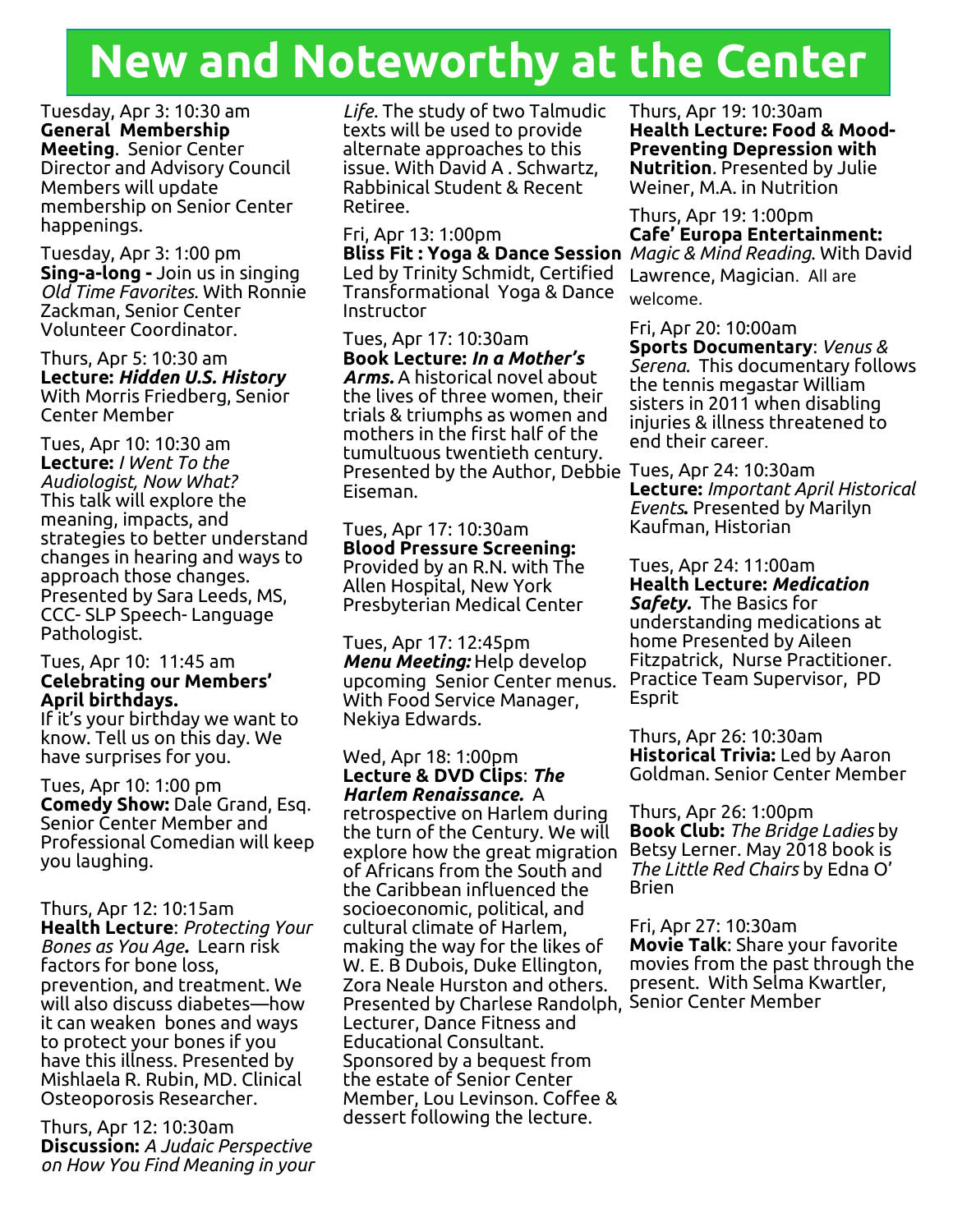## **New and Noteworthy at the Center**

Tuesday, Apr 3: 10:30 am **General Membership Meeting**. Senior Center Director and Advisory Council Members will update membership on Senior Center happenings.

Tuesday, Apr 3: 1:00 pm **Sing-a-long -** Join us in singing *Old Time Favorites.* With Ronnie Zackman, Senior Center Volunteer Coordinator.

Thurs, Apr 5: 10:30 am **Lecture:** *Hidden U.S. History* With Morris Friedberg, Senior Center Member

Tues, Apr 10: 10:30 am **Lecture:** *I Went To the Audiologist, Now What?* This talk will explore the meaning, impacts, and strategies to better understand changes in hearing and ways to approach those changes. Presented by Sara Leeds, MS, CCC- SLP Speech- Language Pathologist.

#### Tues, Apr 10: 11:45 am **Celebrating our Members' April birthdays.**

If it's your birthday we want to know. Tell us on this day. We have surprises for you.

Tues, Apr 10: 1:00 pm **Comedy Show:** Dale Grand, Esq. Senior Center Member and Professional Comedian will keep you laughing.

Thurs, Apr 12: 10:15am **Health Lecture**: *Protecting Your Bones as You Age.* Learn risk factors for bone loss, prevention, and treatment. We will also discuss diabetes—how it can weaken bones and ways to protect your bones if you have this illness. Presented by Mishlaela R. Rubin, MD. Clinical Osteoporosis Researcher.

Thurs, Apr 12: 10:30am **Discussion:** *A Judaic Perspective on How You Find Meaning in your*  *Life.* The study of two Talmudic texts will be used to provide alternate approaches to this issue. With David A . Schwartz, Rabbinical Student & Recent Retiree.

Fri, Apr 13: 1:00pm Led by Trinity Schmidt, Certified Transformational Yoga & Dance Instructor

Tues, Apr 17: 10:30am **Book Lecture:** *In a Mother's Arms.* A historical novel about the lives of three women, their trials & triumphs as women and mothers in the first half of the tumultuous twentieth century. Presented by the Author, Debbie Tues, Apr 24: 10:30am Eiseman.

Tues, Apr 17: 10:30am **Blood Pressure Screening:**  Provided by an R.N. with The Allen Hospital, New York Presbyterian Medical Center

Tues, Apr 17: 12:45pm *Menu Meeting:* Help develop upcoming Senior Center menus. With Food Service Manager, Nekiya Edwards.

#### Wed, Apr 18: 1:00pm **Lecture & DVD Clips**: *The Harlem Renaissance.* A

retrospective on Harlem during the turn of the Century. We will explore how the great migration of Africans from the South and the Caribbean influenced the socioeconomic, political, and cultural climate of Harlem, making the way for the likes of W. E. B Dubois, Duke Ellington, Zora Neale Hurston and others. Presented by Charlese Randolph, Senior Center Member Lecturer, Dance Fitness and Educational Consultant. Sponsored by a bequest from the estate of Senior Center Member, Lou Levinson. Coffee & dessert following the lecture.

Thurs, Apr 19: 10:30am **Health Lecture: Food & Mood-Preventing Depression with Nutrition***.* Presented by Julie Weiner, M.A. in Nutrition

**Bliss Fit : Yoga & Dance Session** *Magic & Mind Reading*. With David Thurs, Apr 19: 1:00pm **Cafe' Europa Entertainment:** Lawrence, Magician. All are welcome.

> Fri, Apr 20: 10:00am **Sports Documentary**: *Venus & Serena.* This documentary follows the tennis megastar William sisters in 2011 when disabling injuries & illness threatened to end their career.

> **Lecture:** *Important April Historical Events***.** Presented by Marilyn Kaufman, Historian

Tues, Apr 24: 11:00am **Health Lecture:** *Medication Safety.* The Basics for understanding medications at home Presented by Aileen Fitzpatrick, Nurse Practitioner. Practice Team Supervisor, PD Esprit

Thurs, Apr 26: 10:30am **Historical Trivia:** Led by Aaron Goldman. Senior Center Member

Thurs, Apr 26: 1:00pm **Book Club:** *The Bridge Ladies* by Betsy Lerner. May 2018 book is *The Little Red Chairs* by Edna O' Brien

Fri, Apr 27: 10:30am **Movie Talk**: Share your favorite movies from the past through the present. With Selma Kwartler,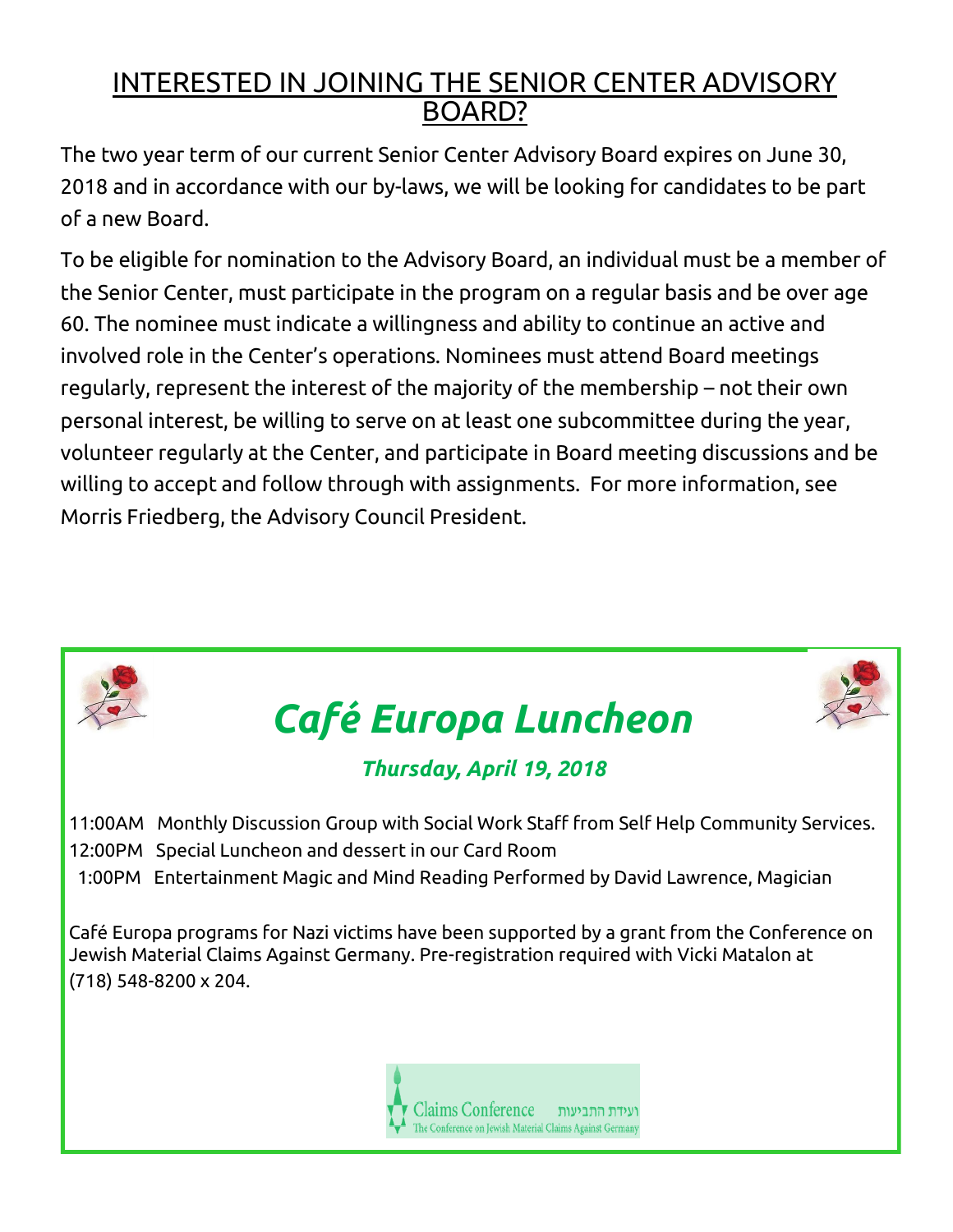## INTERESTED IN JOINING THE SENIOR CENTER ADVISORY BOARD?

The two year term of our current Senior Center Advisory Board expires on June 30, 2018 and in accordance with our by-laws, we will be looking for candidates to be part of a new Board.

To be eligible for nomination to the Advisory Board, an individual must be a member of the Senior Center, must participate in the program on a regular basis and be over age 60. The nominee must indicate a willingness and ability to continue an active and involved role in the Center's operations. Nominees must attend Board meetings regularly, represent the interest of the majority of the membership – not their own personal interest, be willing to serve on at least one subcommittee during the year, volunteer regularly at the Center, and participate in Board meeting discussions and be willing to accept and follow through with assignments. For more information, see Morris Friedberg, the Advisory Council President.



- 12:00PM Special Luncheon and dessert in our Card Room
- 1:00PM Entertainment Magic and Mind Reading Performed by David Lawrence, Magician

Café Europa programs for Nazi victims have been supported by a grant from the Conference on Jewish Material Claims Against Germany. Pre-registration required with Vicki Matalon at (718) 548-8200 x 204.

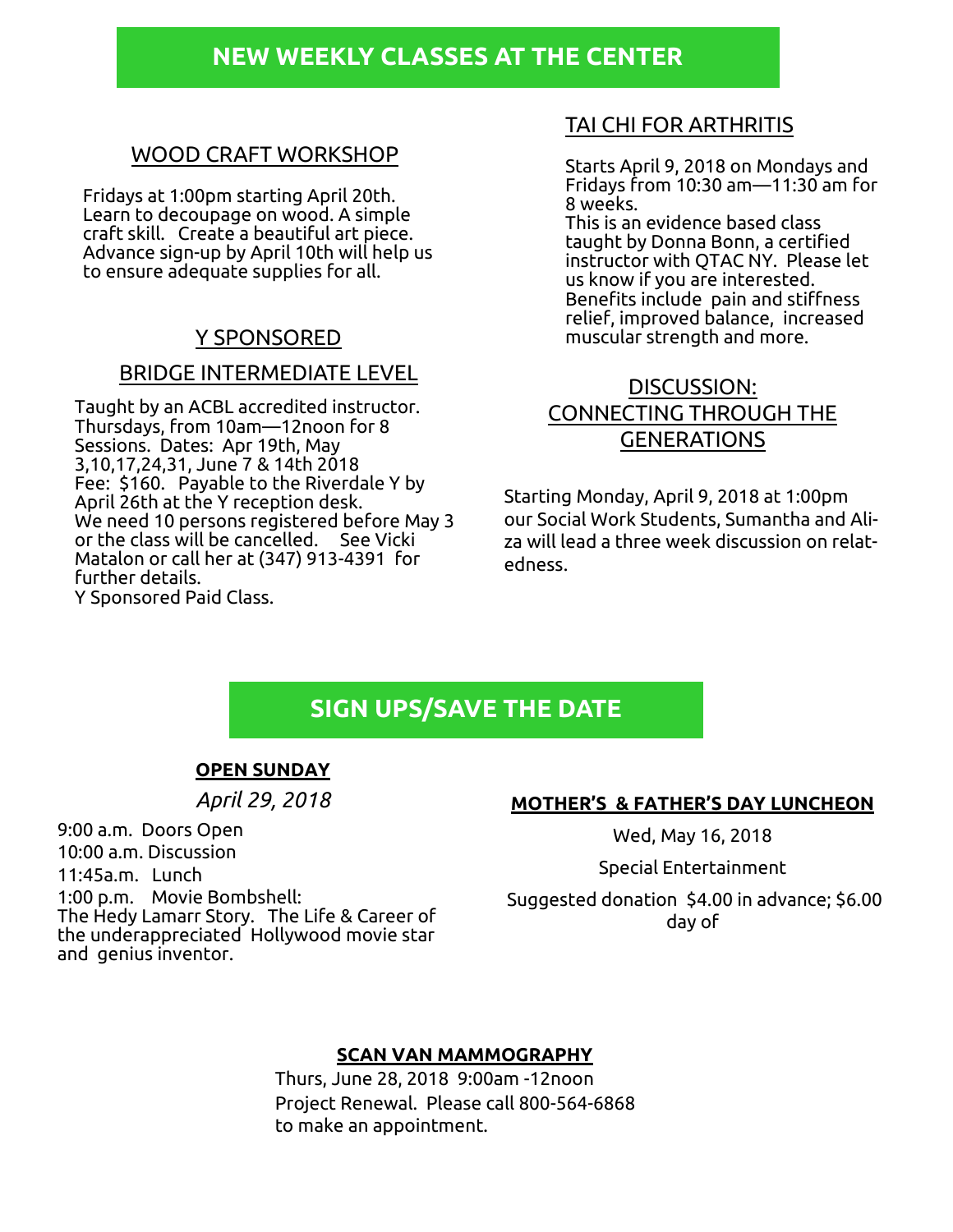### **NEW WEEKLY CLASSES AT THE CENTER**

#### WOOD CRAFT WORKSHOP

Fridays at 1:00pm starting April 20th. Learn to decoupage on wood. A simple craft skill. Create a beautiful art piece. Advance sign-up by April 10th will help us to ensure adequate supplies for all.

#### BRIDGE INTERMEDIATE LEVEL

Taught by an ACBL accredited instructor. Thursdays, from 10am—12noon for 8 Sessions. Dates: Apr 19th, May 3,10,17,24,31, June 7 & 14th 2018 Fee: \$160. Payable to the Riverdale Y by April 26th at the Y reception desk. We need 10 persons registered before May 3 or the class will be cancelled. See Vicki Matalon or call her at (347) 913-4391 for further details. Y Sponsored Paid Class.

#### TAI CHI FOR ARTHRITIS

Starts April 9, 2018 on Mondays and Fridays from 10:30 am—11:30 am for 8 weeks.

This is an evidence based class taught by Donna Bonn, a certified instructor with QTAC NY. Please let us know if you are interested. Benefits include pain and stiffness relief, improved balance, increased Y SPONSORED muscular strength and more.

#### DISCUSSION: CONNECTING THROUGH THE GENERATIONS

Starting Monday, April 9, 2018 at 1:00pm our Social Work Students, Sumantha and Aliza will lead a three week discussion on relatedness.

### **SIGN UPS/SAVE THE DATE**

#### **OPEN SUNDAY**

*April 29, 2018*

#### **MOTHER'S & FATHER'S DAY LUNCHEON**

Wed, May 16, 2018

Special Entertainment

Suggested donation \$4.00 in advance; \$6.00 day of

9:00 a.m. Doors Open 10:00 a.m. Discussion 11:45a.m. Lunch 1:00 p.m. Movie Bombshell: The Hedy Lamarr Story. The Life & Career of the underappreciated Hollywood movie star and genius inventor.

#### **SCAN VAN MAMMOGRAPHY**

Thurs, June 28, 2018 9:00am -12noon Project Renewal. Please call 800-564-6868 to make an appointment.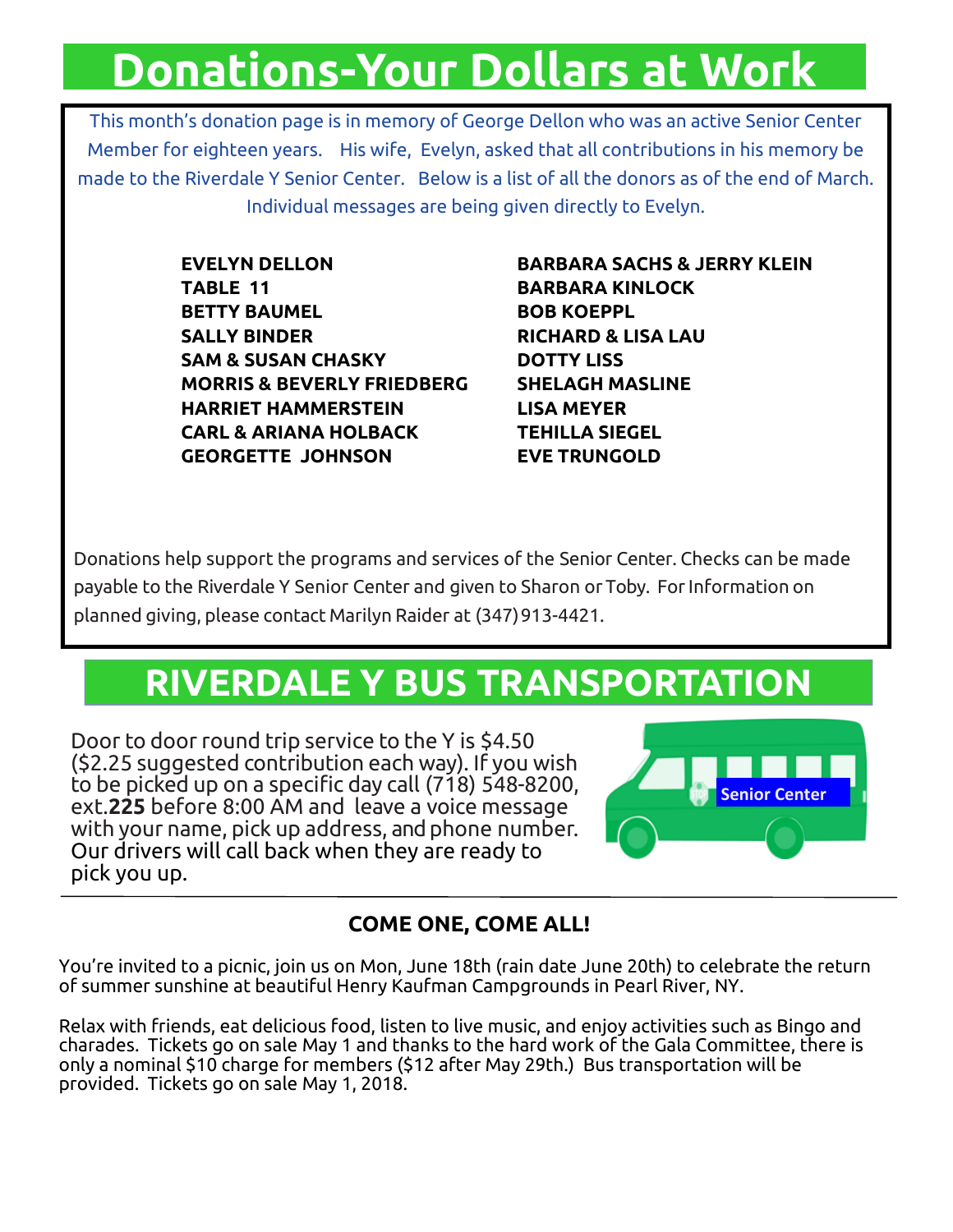## **Donations-Your Dollars at Work**

This month's donation page is in memory of George Dellon who was an active Senior Center Member for eighteen years. His wife, Evelyn, asked that all contributions in his memory be made to the Riverdale Y Senior Center. Below is a list of all the donors as of the end of March. Individual messages are being given directly to Evelyn.

> **TABLE 11 BARBARA KINLOCK BETTY BAUMEL BOB KOEPPL SALLY BINDER RICHARD & LISA LAU SAM & SUSAN CHASKY DOTTY LISS MORRIS & BEVERLY FRIEDBERG SHELAGH MASLINE HARRIET HAMMERSTEIN LISA MEYER CARL & ARIANA HOLBACK TEHILLA SIEGEL GEORGETTE JOHNSON EVE TRUNGOLD**

**EVELYN DELLON BARBARA SACHS & JERRY KLEIN** 

Donations help support the programs and services of the Senior Center. Checks can be made payable to the Riverdale Y Senior Center and given to Sharon or Toby. ForInformation on planned giving, please contact Marilyn Raider at (347)913-4421.

## **RIVERDALE Y BUS TRANSPORTATION**

Door to door round trip service to the Y is \$4.50 (\$2.25 suggested contribution each way). If you wish to be picked up on a specific day call (718) 548-8200, ext.**225** before 8:00 AM and leave a voice message with your name, pick up address, and phone number. Our drivers will call back when they are ready to pick you up.



### **COME ONE, COME ALL!**

You're invited to a picnic, join us on Mon, June 18th (rain date June 20th) to celebrate the return of summer sunshine at beautiful Henry Kaufman Campgrounds in Pearl River, NY.

Relax with friends, eat delicious food, listen to live music, and enjoy activities such as Bingo and charades. Tickets go on sale May 1 and thanks to the hard work of the Gala Committee, there is only a nominal \$10 charge for members (\$12 after May 29th.) Bus transportation will be provided. Tickets go on sale May 1, 2018.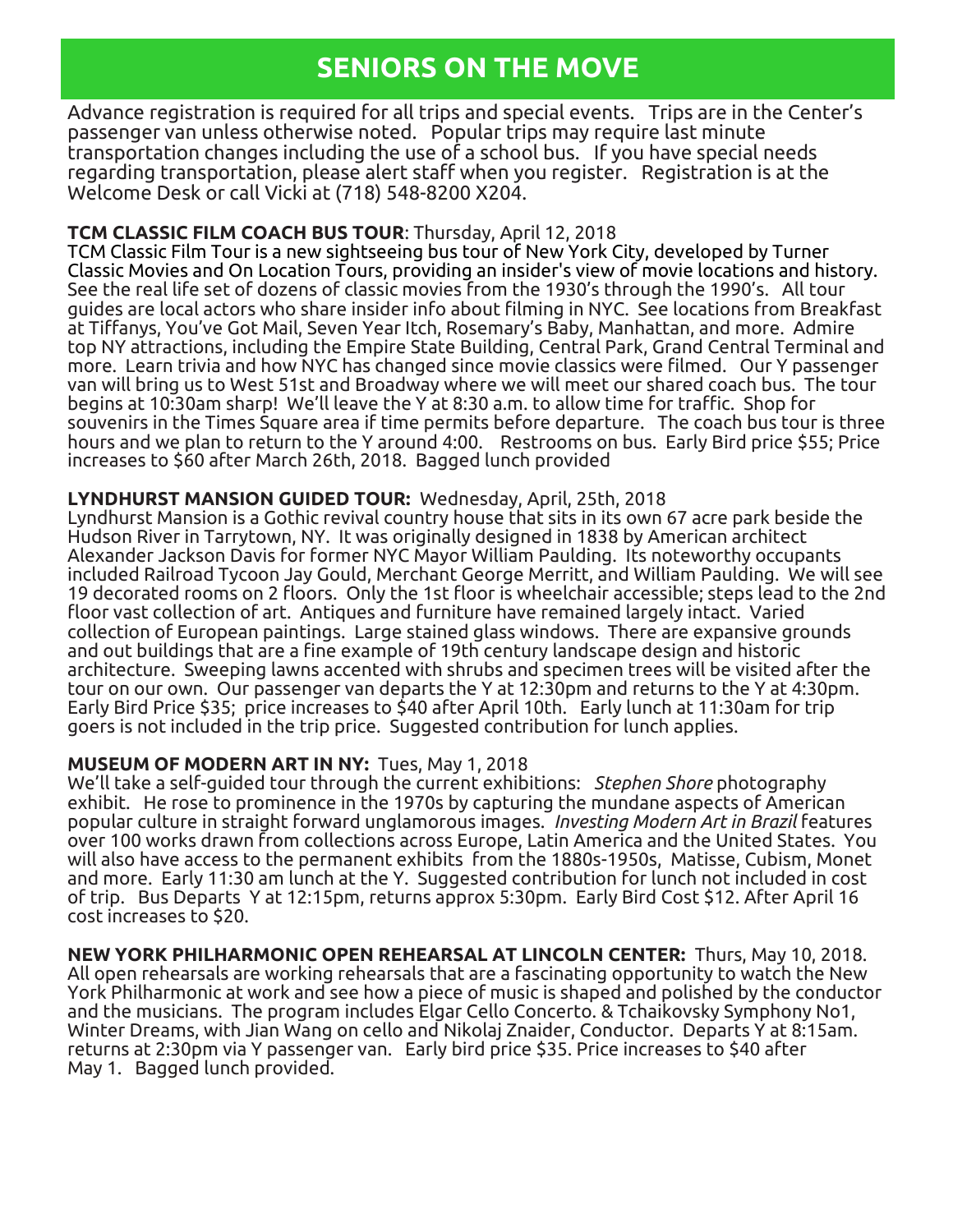## **SENIORS ON THE MOVE**

Advance registration is required for all trips and special events. Trips are in the Center's passenger van unless otherwise noted. Popular trips may require last minute transportation changes including the use of a school bus. If you have special needs regarding transportation, please alert staff when you register. Registration is at the Welcome Desk or call Vicki at (718) 548-8200 X204.

#### **TCM CLASSIC FILM COACH BUS TOUR**: Thursday, April 12, 2018

TCM Classic Film Tour is a new sightseeing bus tour of New York City, developed by Turner Classic Movies and On Location Tours, providing an insider's view of movie locations and history. See the real life set of dozens of classic movies from the 1930's through the 1990's. All tour guides are local actors who share insider info about filming in NYC. See locations from Breakfast at Tiffanys, You've Got Mail, Seven Year Itch, Rosemary's Baby, Manhattan, and more. Admire top NY attractions, including the Empire State Building, Central Park, Grand Central Terminal and more. Learn trivia and how NYC has changed since movie classics were filmed. Our Y passenger van will bring us to West 51st and Broadway where we will meet our shared coach bus. The tour begins at 10:30am sharp! We'll leave the Y at 8:30 a.m. to allow time for traffic. Shop for souvenirs in the Times Square area if time permits before departure. The coach bus tour is three hours and we plan to return to the Y around 4:00. Restrooms on bus. Early Bird price \$55; Price increases to \$60 after March 26th, 2018. Bagged lunch provided

#### **LYNDHURST MANSION GUIDED TOUR:** Wednesday, April, 25th, 2018

Lyndhurst Mansion is a Gothic revival country house that sits in its own 67 acre park beside the Hudson River in Tarrytown, NY. It was originally designed in 1838 by American architect Alexander Jackson Davis for former NYC Mayor William Paulding. Its noteworthy occupants included Railroad Tycoon Jay Gould, Merchant George Merritt, and William Paulding. We will see 19 decorated rooms on 2 floors. Only the 1st floor is wheelchair accessible; steps lead to the 2nd floor vast collection of art. Antiques and furniture have remained largely intact. Varied collection of European paintings. Large stained glass windows. There are expansive grounds and out buildings that are a fine example of 19th century landscape design and historic architecture. Sweeping lawns accented with shrubs and specimen trees will be visited after the tour on our own. Our passenger van departs the Y at 12:30pm and returns to the Y at 4:30pm. Early Bird Price \$35; price increases to \$40 after April 10th. Early lunch at 11:30am for trip goers is not included in the trip price. Suggested contribution for lunch applies.

#### **MUSEUM OF MODERN ART IN NY:** Tues, May 1, 2018

We'll take a self-guided tour through the current exhibitions: *Stephen Shore* photography exhibit. He rose to prominence in the 1970s by capturing the mundane aspects of American popular culture in straight forward unglamorous images. *Investing Modern Art in Brazil* features over 100 works drawn from collections across Europe, Latin America and the United States. You will also have access to the permanent exhibits from the 1880s-1950s, Matisse, Cubism, Monet and more. Early 11:30 am lunch at the Y. Suggested contribution for lunch not included in cost of trip. Bus Departs Y at 12:15pm, returns approx 5:30pm. Early Bird Cost \$12. After April 16 cost increases to \$20.

**NEW YORK PHILHARMONIC OPEN REHEARSAL AT LINCOLN CENTER:** Thurs, May 10, 2018. All open rehearsals are working rehearsals that are a fascinating opportunity to watch the New York Philharmonic at work and see how a piece of music is shaped and polished by the conductor and the musicians. The program includes Elgar Cello Concerto. & Tchaikovsky Symphony No1, Winter Dreams, with Jian Wang on cello and Nikolaj Znaider, Conductor. Departs Y at 8:15am. returns at 2:30pm via Y passenger van. Early bird price \$35. Price increases to \$40 after May 1. Bagged lunch provided.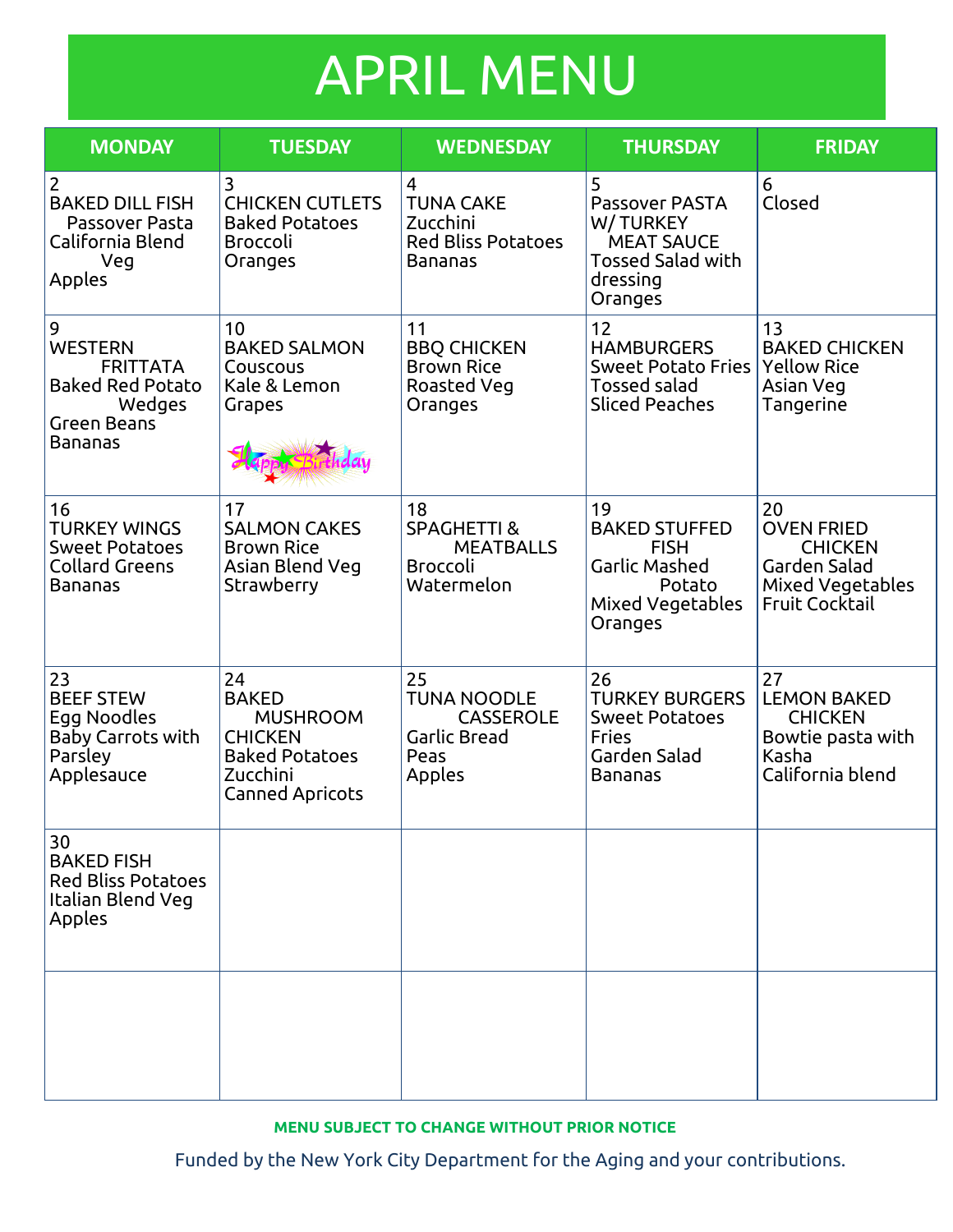## APRIL MENU

| <b>MONDAY</b>                                                                                         | <b>TUESDAY</b>                                                                                                         | <b>WEDNESDAY</b>                                                                  | <b>THURSDAY</b>                                                                                                | <b>FRIDAY</b>                                                                                          |
|-------------------------------------------------------------------------------------------------------|------------------------------------------------------------------------------------------------------------------------|-----------------------------------------------------------------------------------|----------------------------------------------------------------------------------------------------------------|--------------------------------------------------------------------------------------------------------|
| $\overline{2}$<br><b>BAKED DILL FISH</b><br>Passover Pasta<br>California Blend<br>Veg<br>Apples       | 3<br><b>CHICKEN CUTLETS</b><br><b>Baked Potatoes</b><br><b>Broccoli</b><br>Oranges                                     | 4<br><b>TUNA CAKE</b><br>Zucchini<br><b>Red Bliss Potatoes</b><br><b>Bananas</b>  | 5<br><b>Passover PASTA</b><br>W/TURKEY<br><b>MEAT SAUCE</b><br><b>Tossed Salad with</b><br>dressing<br>Oranges | 6<br>Closed                                                                                            |
| 9<br><b>WESTERN</b><br><b>FRITTATA</b><br><b>Baked Red Potato</b><br>Wedges<br>Green Beans<br>Bananas | 10<br><b>BAKED SALMON</b><br>Couscous<br>Kale & Lemon<br>Grapes                                                        | 11<br><b>BBQ CHICKEN</b><br><b>Brown Rice</b><br>Roasted Veg<br>Oranges           | 12<br><b>HAMBURGERS</b><br><b>Sweet Potato Fries</b><br><b>Tossed salad</b><br><b>Sliced Peaches</b>           | 13<br><b>BAKED CHICKEN</b><br><b>Yellow Rice</b><br>Asian Veg<br>Tangerine                             |
| 16<br><b>TURKEY WINGS</b><br><b>Sweet Potatoes</b><br><b>Collard Greens</b><br><b>Bananas</b>         | 17<br><b>SALMON CAKES</b><br><b>Brown Rice</b><br>Asian Blend Veg<br>Strawberry                                        | 18<br><b>SPAGHETTI &amp;</b><br><b>MEATBALLS</b><br><b>Broccoli</b><br>Watermelon | 19<br><b>BAKED STUFFED</b><br><b>FISH</b><br>Garlic Mashed<br>Potato<br>Mixed Vegetables<br>Oranges            | 20<br><b>OVEN FRIED</b><br><b>CHICKEN</b><br>Garden Salad<br>Mixed Vegetables<br><b>Fruit Cocktail</b> |
| 23<br><b>BEEF STEW</b><br>Egg Noodles<br><b>Baby Carrots with</b><br>Parsley<br>Applesauce            | 24<br><b>BAKED</b><br><b>MUSHROOM</b><br><b>CHICKEN</b><br><b>Baked Potatoes</b><br>Zucchini<br><b>Canned Apricots</b> | 25<br><b>TUNA NOODLE</b><br><b>CASSEROLE</b><br>Garlic Bread<br>Peas<br>Apples    | 26<br><b>TURKEY BURGERS</b><br><b>Sweet Potatoes</b><br><b>Fries</b><br>Garden Salad<br><b>Bananas</b>         | 27<br><b>LEMON BAKED</b><br><b>CHICKEN</b><br>Bowtie pasta with<br>Kasha<br>California blend           |
| 30<br><b>BAKED FISH</b><br><b>Red Bliss Potatoes</b><br>Italian Blend Veg<br>Apples                   |                                                                                                                        |                                                                                   |                                                                                                                |                                                                                                        |
|                                                                                                       |                                                                                                                        |                                                                                   |                                                                                                                |                                                                                                        |

**MENU SUBJECT TO CHANGE WITHOUT PRIOR NOTICE**

Funded by the New York City Department for the Aging and your contributions.